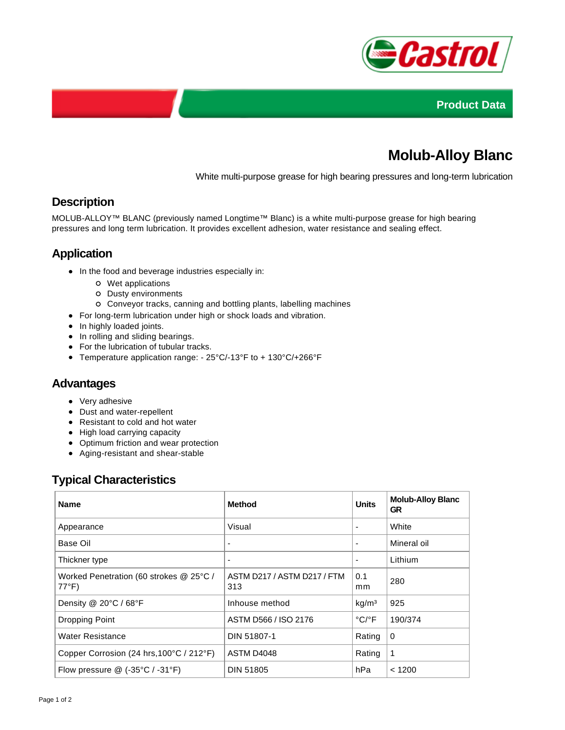



# **Molub-Alloy Blanc**

White multi-purpose grease for high bearing pressures and long-term lubrication

## **Description**

MOLUB-ALLOY™ BLANC (previously named Longtime™ Blanc) is a white multi-purpose grease for high bearing pressures and long term lubrication. It provides excellent adhesion, water resistance and sealing effect.

## **Application**

- In the food and beverage industries especially in:
	- Wet applications
	- Dusty environments
	- Conveyor tracks, canning and bottling plants, labelling machines
- For long-term lubrication under high or shock loads and vibration.
- In highly loaded joints.
- In rolling and sliding bearings.
- For the lubrication of tubular tracks.
- Temperature application range: 25°C/-13°F to + 130°C/+266°F

#### **Advantages**

- Very adhesive
- Dust and water-repellent
- Resistant to cold and hot water
- High load carrying capacity
- Optimum friction and wear protection
- Aging-resistant and shear-stable

# **Typical Characteristics**

| <b>Name</b>                                                | <b>Method</b>                      | <b>Units</b>               | <b>Molub-Alloy Blanc</b><br><b>GR</b> |
|------------------------------------------------------------|------------------------------------|----------------------------|---------------------------------------|
| Appearance                                                 | Visual                             | ٠                          | White                                 |
| Base Oil                                                   | -                                  | ٠                          | Mineral oil                           |
| Thickner type                                              | $\overline{\phantom{a}}$           | ٠                          | Lithium                               |
| Worked Penetration (60 strokes @ 25°C /<br>$77^{\circ}F$ ) | ASTM D217 / ASTM D217 / FTM<br>313 | 0.1<br>mm                  | 280                                   |
| Density @ 20°C / 68°F                                      | Inhouse method                     | kg/m <sup>3</sup>          | 925                                   |
| Dropping Point                                             | ASTM D566 / ISO 2176               | $^{\circ}$ C/ $^{\circ}$ F | 190/374                               |
| Water Resistance                                           | DIN 51807-1                        | Rating                     | 0                                     |
| Copper Corrosion (24 hrs, 100°C / 212°F)                   | ASTM D4048                         | Rating                     | 1                                     |
| Flow pressure $@$ (-35°C / -31°F)                          | <b>DIN 51805</b>                   | hPa                        | < 1200                                |